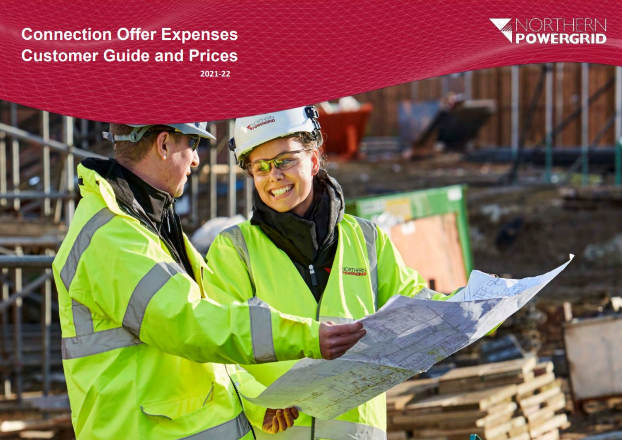# **Connection Offer Expenses Customer Guide and Prices**



 **2021-22**

*<b>Northern Power Connection Of Expenses Application Of Expenses Application Of Expenses Application Connection Of Expenses Application Of Expenses Application Of Expenses Application Of Expenses Application Of Expenses Ap* 

**VORTHERN**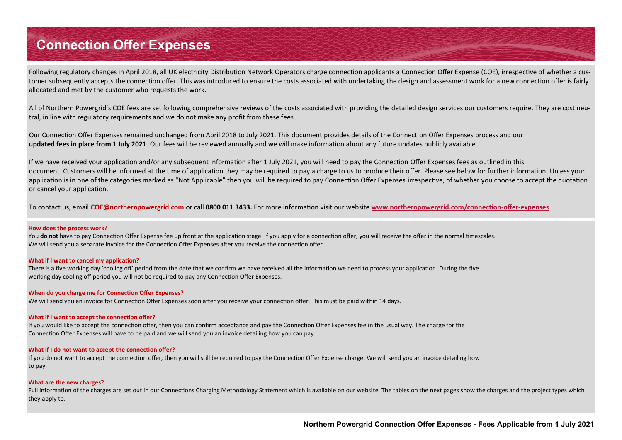Following regulatory changes in April 2018, all UK electricity Distribution Network Operators charge connection applicants a Connection Offer Expense (COE), irrespective of whether a customer subsequently accepts the connection offer. This was introduced to ensure the costs associated with undertaking the design and assessment work for a new connection offer is fairly allocated and met by the customer who requests the work.

All of Northern Powergrid's COE fees are set following comprehensive reviews of the costs associated with providing the detailed design services our customers require. They are cost neutral, in line with regulatory requirements and we do not make any profit from these fees.

Our Connection Offer Expenses remained unchanged from April 2018 to July 2021. This document provides details of the Connection Offer Expenses process and our **updated fees in place from 1 July 2021**. Our fees will be reviewed annually and we will make information about any future updates publicly available.

If we have received your application and/or any subsequent information after 1 July 2021, you will need to pay the Connection Offer Expenses fees as outlined in this document. Customers will be informed at the time of application they may be required to pay a charge to us to produce their offer. Please see below for further information. Unless your application is in one of the categories marked as "Not Applicable" then you will be required to pay Connection Offer Expenses irrespective, of whether you choose to accept the quotation or cancel your application.

To contact us, email **COE@northernpowergrid.com** or call **0800 011 3433.** For more information visit our website **[www.northernpowergrid.com/connection](https://www.northernpowergrid.com/connection-offer-expenses)-offer-expenses**

#### **How does the process work?**

You **do not** have to pay Connection Offer Expense fee up front at the application stage. If you apply for a connection offer, you will receive the offer in the normal timescales. We will send you a separate invoice for the Connection Offer Expenses after you receive the connection offer.

#### **What if I want to cancel my application?**

There is a five working day 'cooling off' period from the date that we confirm we have received all the information we need to process your application. During the five working day cooling off period you will not be required to pay any Connection Offer Expenses.

#### **When do you charge me for Connection Offer Expenses?**

We will send you an invoice for Connection Offer Expenses soon after you receive your connection offer. This must be paid within 14 days.

#### **What if I want to accept the connection offer?**

If you would like to accept the connection offer, then you can confirm acceptance and pay the Connection Offer Expenses fee in the usual way. The charge for the Connection Offer Expenses will have to be paid and we will send you an invoice detailing how you can pay.

#### **What if I do not want to accept the connection offer?**

If you do not want to accept the connection offer, then you will still be required to pay the Connection Offer Expense charge. We will send you an invoice detailing how to pay.

#### **What are the new charges?**

Full information of the charges are set out in our Connections Charging Methodology Statement which is available on our website. The tables on the next pages show the charges and the project types which they apply to.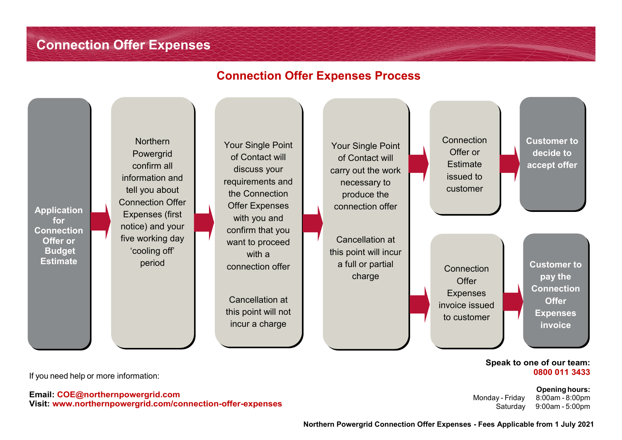#### **Connection Offer Expenses Process**



If you need help or more information:

**Email: COE@northernpowergrid.com Visit: www.northernpowergrid.com/connection-offer-expenses** **0800 011 3433 Opening hours:** 

Monday - Friday 8:00am - 8:00pm Saturday 9:00am - 5:00pm

 **Northern Powergrid Connection Offer Expenses - Fees Applicable from 1 July 2021**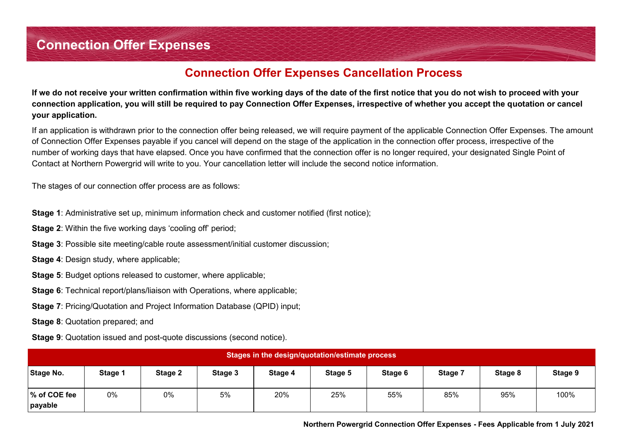## **Connection Offer Expenses Cancellation Process**

**If we do not receive your written confirmation within five working days of the date of the first notice that you do not wish to proceed with your connection application, you will still be required to pay Connection Offer Expenses, irrespective of whether you accept the quotation or cancel your application.** 

If an application is withdrawn prior to the connection offer being released, we will require payment of the applicable Connection Offer Expenses. The amount of Connection Offer Expenses payable if you cancel will depend on the stage of the application in the connection offer process, irrespective of the number of working days that have elapsed. Once you have confirmed that the connection offer is no longer required, your designated Single Point of Contact at Northern Powergrid will write to you. Your cancellation letter will include the second notice information.

The stages of our connection offer process are as follows:

**Stage 1**: Administrative set up, minimum information check and customer notified (first notice);

- **Stage 2:** Within the five working days 'cooling off' period;
- **Stage 3**: Possible site meeting/cable route assessment/initial customer discussion;
- **Stage 4: Design study, where applicable;**
- **Stage 5**: Budget options released to customer, where applicable;
- **Stage 6:** Technical report/plans/liaison with Operations, where applicable;
- **Stage 7**: Pricing/Quotation and Project Information Database (QPID) input;
- **Stage 8**: Quotation prepared; and
- **Stage 9**: Quotation issued and post-quote discussions (second notice).

| Stages in the design/quotation/estimate process |                    |         |         |         |         |         |         |         |         |
|-------------------------------------------------|--------------------|---------|---------|---------|---------|---------|---------|---------|---------|
| Stage No.                                       | Stage <sup>®</sup> | Stage 2 | Stage 3 | Stage 4 | Stage 5 | Stage 6 | Stage 7 | Stage 8 | Stage 9 |
| % of COE fee<br>payable                         | 0%                 | 0%      | 5%      | 20%     | 25%     | 55%     | 85%     | 95%     | 100%    |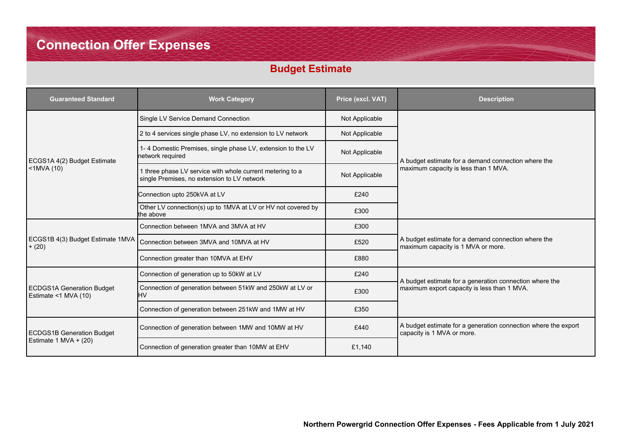## **Budget Estimate**

| <b>Guaranteed Standard</b>                               | <b>Work Category</b>                                                                                                       | Price (excl. VAT) | <b>Description</b>                                                                           |  |
|----------------------------------------------------------|----------------------------------------------------------------------------------------------------------------------------|-------------------|----------------------------------------------------------------------------------------------|--|
|                                                          | Single LV Service Demand Connection                                                                                        | Not Applicable    |                                                                                              |  |
|                                                          | 2 to 4 services single phase LV, no extension to LV network                                                                | Not Applicable    |                                                                                              |  |
| ECGS1A 4(2) Budget Estimate                              | 1-4 Domestic Premises, single phase LV, extension to the LV<br>network required                                            | Not Applicable    | A budget estimate for a demand connection where the                                          |  |
| $<$ 1MVA $(10)$                                          | 1 three phase LV service with whole current metering to a<br>Not Applicable<br>single Premises, no extension to LV network |                   | maximum capacity is less than 1 MVA.                                                         |  |
|                                                          | Connection upto 250kVA at LV                                                                                               | £240              |                                                                                              |  |
|                                                          | Other LV connection(s) up to 1MVA at LV or HV not covered by<br>the above                                                  | £300              |                                                                                              |  |
|                                                          | Connection between 1MVA and 3MVA at HV                                                                                     | £300              |                                                                                              |  |
| ECGS1B 4(3) Budget Estimate 1MVA<br>$+ (20)$             | Connection between 3MVA and 10MVA at HV                                                                                    | £520              | A budget estimate for a demand connection where the<br>maximum capacity is 1 MVA or more.    |  |
|                                                          | Connection greater than 10MVA at EHV                                                                                       | £880              |                                                                                              |  |
|                                                          | Connection of generation up to 50kW at LV                                                                                  | £240              | A budget estimate for a generation connection where the                                      |  |
| <b>ECDGS1A Generation Budget</b><br>Estimate <1 MVA (10) | Connection of generation between 51kW and 250kW at LV or<br>HV                                                             | £300              | maximum export capacity is less than 1 MVA.                                                  |  |
|                                                          | Connection of generation between 251kW and 1MW at HV                                                                       | £350              |                                                                                              |  |
| <b>ECDGS1B Generation Budget</b>                         | Connection of generation between 1MW and 10MW at HV                                                                        | £440              | A budget estimate for a generation connection where the export<br>capacity is 1 MVA or more. |  |
| Estimate 1 MVA + $(20)$                                  | Connection of generation greater than 10MW at EHV                                                                          | £1,140            |                                                                                              |  |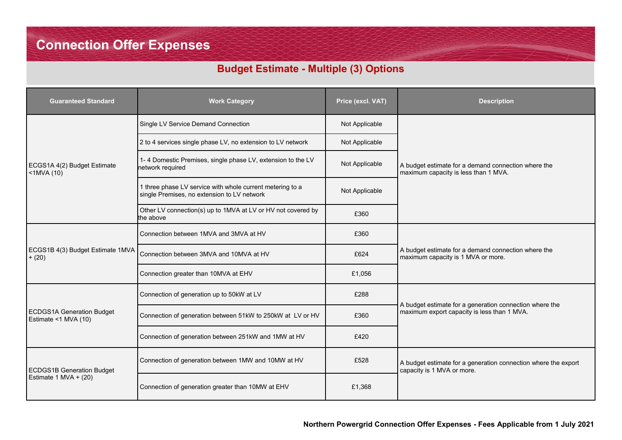## **Budget Estimate - Multiple (3) Options**

| <b>Guaranteed Standard</b>                               | <b>Work Category</b>                                                                                     | Price (excl. VAT) | <b>Description</b>                                                                                     |  |
|----------------------------------------------------------|----------------------------------------------------------------------------------------------------------|-------------------|--------------------------------------------------------------------------------------------------------|--|
|                                                          | Single LV Service Demand Connection                                                                      | Not Applicable    |                                                                                                        |  |
|                                                          | 2 to 4 services single phase LV, no extension to LV network                                              | Not Applicable    |                                                                                                        |  |
| ECGS1A 4(2) Budget Estimate<br><1MVA (10)                | 1-4 Domestic Premises, single phase LV, extension to the LV<br>Not Applicable<br>network required        |                   | A budget estimate for a demand connection where the<br>maximum capacity is less than 1 MVA.            |  |
|                                                          | 1 three phase LV service with whole current metering to a<br>single Premises, no extension to LV network | Not Applicable    |                                                                                                        |  |
|                                                          | Other LV connection(s) up to 1MVA at LV or HV not covered by<br>the above                                | £360              |                                                                                                        |  |
|                                                          | Connection between 1MVA and 3MVA at HV                                                                   | £360              |                                                                                                        |  |
| ECGS1B 4(3) Budget Estimate 1MVA<br>$+ (20)$             | Connection between 3MVA and 10MVA at HV                                                                  | £624              | A budget estimate for a demand connection where the<br>maximum capacity is 1 MVA or more.              |  |
|                                                          | Connection greater than 10MVA at EHV                                                                     | £1,056            |                                                                                                        |  |
|                                                          | Connection of generation up to 50kW at LV                                                                | £288              |                                                                                                        |  |
| <b>ECDGS1A Generation Budget</b><br>Estimate <1 MVA (10) | Connection of generation between 51kW to 250kW at LV or HV                                               | £360              | A budget estimate for a generation connection where the<br>maximum export capacity is less than 1 MVA. |  |
|                                                          | Connection of generation between 251kW and 1MW at HV                                                     | £420              |                                                                                                        |  |
| <b>ECDGS1B Generation Budget</b>                         | Connection of generation between 1MW and 10MW at HV                                                      | £528              | A budget estimate for a generation connection where the export<br>capacity is 1 MVA or more.           |  |
| Estimate 1 MVA + $(20)$                                  | Connection of generation greater than 10MW at EHV                                                        | £1,368            |                                                                                                        |  |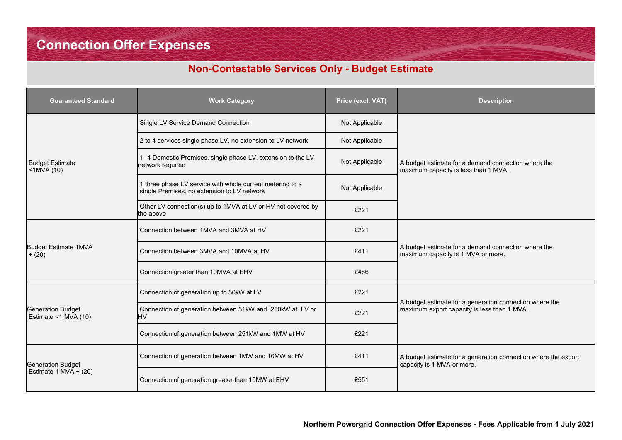## **Non-Contestable Services Only - Budget Estimate**

| <b>Guaranteed Standard</b>                       | <b>Work Category</b>                                                                                     | Price (excl. VAT) | <b>Description</b>                                                                           |
|--------------------------------------------------|----------------------------------------------------------------------------------------------------------|-------------------|----------------------------------------------------------------------------------------------|
|                                                  | Single LV Service Demand Connection                                                                      | Not Applicable    |                                                                                              |
|                                                  | 2 to 4 services single phase LV, no extension to LV network<br>Not Applicable                            |                   | A budget estimate for a demand connection where the<br>maximum capacity is less than 1 MVA.  |
| <b>Budget Estimate</b><br>$<$ 1MVA $(10)$        | 1-4 Domestic Premises, single phase LV, extension to the LV<br>network required                          |                   |                                                                                              |
|                                                  | 1 three phase LV service with whole current metering to a<br>single Premises, no extension to LV network |                   |                                                                                              |
|                                                  | Other LV connection(s) up to 1MVA at LV or HV not covered by<br>the above                                | £221              |                                                                                              |
|                                                  | Connection between 1MVA and 3MVA at HV                                                                   | £221              |                                                                                              |
| <b>Budget Estimate 1MVA</b><br>$+ (20)$          | Connection between 3MVA and 10MVA at HV<br>£411                                                          |                   | A budget estimate for a demand connection where the<br>maximum capacity is 1 MVA or more.    |
|                                                  | Connection greater than 10MVA at EHV                                                                     | £486              |                                                                                              |
|                                                  | Connection of generation up to 50kW at LV                                                                | £221              | A budget estimate for a generation connection where the                                      |
| <b>Generation Budget</b><br>Estimate <1 MVA (10) | Connection of generation between 51kW and 250kW at LV or<br>HV                                           | £221              | maximum export capacity is less than 1 MVA.                                                  |
|                                                  | Connection of generation between 251kW and 1MW at HV                                                     | £221              |                                                                                              |
| <b>Generation Budget</b>                         | Connection of generation between 1MW and 10MW at HV                                                      | £411              | A budget estimate for a generation connection where the export<br>capacity is 1 MVA or more. |
| Estimate 1 MVA + $(20)$                          | Connection of generation greater than 10MW at EHV                                                        | £551              |                                                                                              |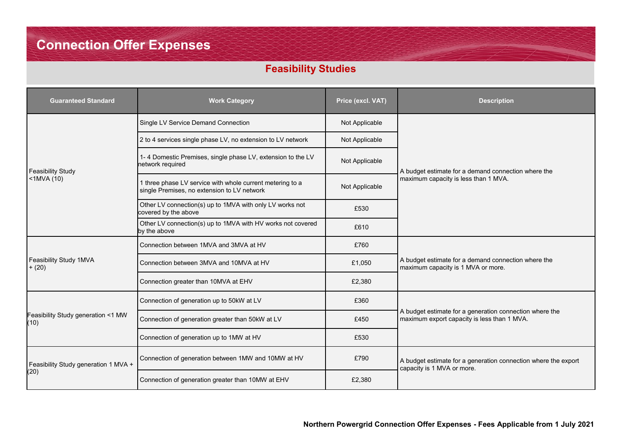## **Feasibility Studies**

| <b>Guaranteed Standard</b>                 | <b>Work Category</b>                                                                                     | Price (excl. VAT)                                      | <b>Description</b>                                                                                     |  |
|--------------------------------------------|----------------------------------------------------------------------------------------------------------|--------------------------------------------------------|--------------------------------------------------------------------------------------------------------|--|
|                                            | Single LV Service Demand Connection                                                                      | Not Applicable                                         |                                                                                                        |  |
|                                            | 2 to 4 services single phase LV, no extension to LV network<br>Not Applicable                            |                                                        |                                                                                                        |  |
| <b>Feasibility Study</b>                   | 1-4 Domestic Premises, single phase LV, extension to the LV<br>network required                          | Not Applicable                                         | A budget estimate for a demand connection where the                                                    |  |
| $<$ 1MVA $(10)$                            | 1 three phase LV service with whole current metering to a<br>single Premises, no extension to LV network | maximum capacity is less than 1 MVA.<br>Not Applicable |                                                                                                        |  |
|                                            | Other LV connection(s) up to 1MVA with only LV works not<br>covered by the above                         | £530                                                   |                                                                                                        |  |
|                                            | Other LV connection(s) up to 1MVA with HV works not covered<br>by the above                              | £610                                                   |                                                                                                        |  |
|                                            | Connection between 1MVA and 3MVA at HV                                                                   | £760                                                   |                                                                                                        |  |
| Feasibility Study 1MVA<br>$+ (20)$         | Connection between 3MVA and 10MVA at HV                                                                  | £1,050                                                 | A budget estimate for a demand connection where the<br>maximum capacity is 1 MVA or more.              |  |
|                                            | Connection greater than 10MVA at EHV                                                                     | £2,380                                                 |                                                                                                        |  |
|                                            | Connection of generation up to 50kW at LV                                                                | £360                                                   |                                                                                                        |  |
| Feasibility Study generation <1 MW<br>(10) | Connection of generation greater than 50kW at LV                                                         | £450                                                   | A budget estimate for a generation connection where the<br>maximum export capacity is less than 1 MVA. |  |
|                                            | Connection of generation up to 1MW at HV                                                                 | £530                                                   |                                                                                                        |  |
| Feasibility Study generation 1 MVA +       | Connection of generation between 1MW and 10MW at HV                                                      | £790                                                   | A budget estimate for a generation connection where the export<br>capacity is 1 MVA or more.           |  |
| (20)                                       | Connection of generation greater than 10MW at EHV                                                        | £2,380                                                 |                                                                                                        |  |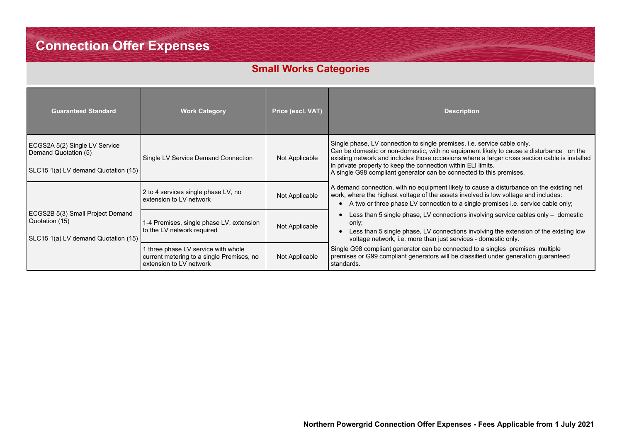## **Small Works Categories**

| <b>Guaranteed Standard</b>                                                                   | <b>Work Category</b>                                                                                        | Price (excl. VAT) | <b>Description</b>                                                                                                                                                                                                                                                                                                                                                                                                  |
|----------------------------------------------------------------------------------------------|-------------------------------------------------------------------------------------------------------------|-------------------|---------------------------------------------------------------------------------------------------------------------------------------------------------------------------------------------------------------------------------------------------------------------------------------------------------------------------------------------------------------------------------------------------------------------|
| ECGS2A 5(2) Single LV Service<br>Demand Quotation (5)<br>SLC15 1(a) LV demand Quotation (15) | Single LV Service Demand Connection                                                                         | Not Applicable    | Single phase, LV connection to single premises, <i>i.e.</i> service cable only.<br>Can be domestic or non-domestic, with no equipment likely to cause a disturbance on the<br>existing network and includes those occasions where a larger cross section cable is installed<br>in private property to keep the connection within ELI limits.<br>A single G98 compliant generator can be connected to this premises. |
|                                                                                              | 2 to 4 services single phase LV, no<br>extension to LV network                                              | Not Applicable    | A demand connection, with no equipment likely to cause a disturbance on the existing net<br>work, where the highest voltage of the assets involved is low voltage and includes:<br>A two or three phase LV connection to a single premises i.e. service cable only;                                                                                                                                                 |
| ECGS2B 5(3) Small Project Demand<br>Quotation (15)<br>SLC15 1(a) LV demand Quotation (15)    | 1-4 Premises, single phase LV, extension<br>to the LV network required                                      | Not Applicable    | Less than 5 single phase, LV connections involving service cables only $-$ domestic<br>only;<br>Less than 5 single phase, LV connections involving the extension of the existing low<br>voltage network, i.e. more than just services - domestic only.                                                                                                                                                              |
|                                                                                              | 1 three phase LV service with whole<br>current metering to a single Premises, no<br>extension to LV network | Not Applicable    | Single G98 compliant generator can be connected to a singles premises multiple<br>premises or G99 compliant generators will be classified under generation guaranteed<br>standards.                                                                                                                                                                                                                                 |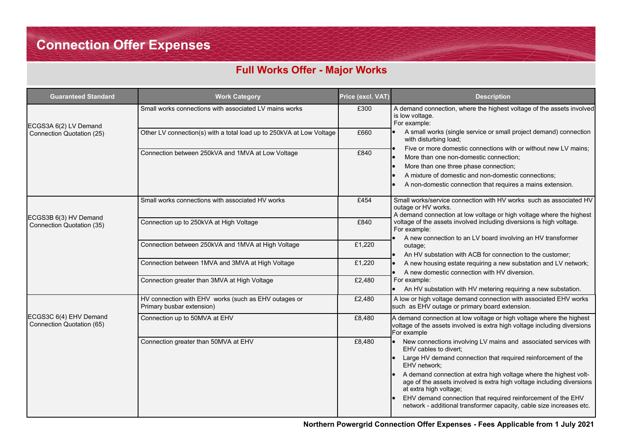## **Full Works Offer - Major Works**

| <b>Guaranteed Standard</b>                          | <b>Work Category</b>                                                              | Price (excl. VAT) | <b>Description</b>                                                                                                                                                                                                                                                                                                                                                                                                                                                                               |
|-----------------------------------------------------|-----------------------------------------------------------------------------------|-------------------|--------------------------------------------------------------------------------------------------------------------------------------------------------------------------------------------------------------------------------------------------------------------------------------------------------------------------------------------------------------------------------------------------------------------------------------------------------------------------------------------------|
| ECGS3A 6(2) LV Demand                               | Small works connections with associated LV mains works                            | £300              | A demand connection, where the highest voltage of the assets involved<br>is low voltage.<br>For example:                                                                                                                                                                                                                                                                                                                                                                                         |
| Connection Quotation (25)                           | Other LV connection(s) with a total load up to 250kVA at Low Voltage              | £660              | A small works (single service or small project demand) connection<br>with disturbing load;                                                                                                                                                                                                                                                                                                                                                                                                       |
|                                                     | Connection between 250kVA and 1MVA at Low Voltage                                 | £840              | Five or more domestic connections with or without new LV mains;<br>More than one non-domestic connection;<br>More than one three phase connection;<br>A mixture of domestic and non-domestic connections;<br>A non-domestic connection that requires a mains extension.                                                                                                                                                                                                                          |
| ECGS3B 6(3) HV Demand                               | Small works connections with associated HV works                                  | £454              | Small works/service connection with HV works such as associated HV<br>outage or HV works.<br>A demand connection at low voltage or high voltage where the highest                                                                                                                                                                                                                                                                                                                                |
| Connection Quotation (35)                           | Connection up to 250kVA at High Voltage                                           | £840              | voltage of the assets involved including diversions is high voltage.<br>For example:<br>A new connection to an LV board involving an HV transformer                                                                                                                                                                                                                                                                                                                                              |
|                                                     | Connection between 250kVA and 1MVA at High Voltage                                | £1,220            | outage;<br>An HV substation with ACB for connection to the customer;                                                                                                                                                                                                                                                                                                                                                                                                                             |
|                                                     | Connection between 1MVA and 3MVA at High Voltage                                  | £1,220            | A new housing estate requiring a new substation and LV network;<br>A new domestic connection with HV diversion.                                                                                                                                                                                                                                                                                                                                                                                  |
|                                                     | Connection greater than 3MVA at High Voltage                                      | £2,480            | For example:<br>An HV substation with HV metering requiring a new substation.                                                                                                                                                                                                                                                                                                                                                                                                                    |
|                                                     | HV connection with EHV works (such as EHV outages or<br>Primary busbar extension) | £2,480            | A low or high voltage demand connection with associated EHV works<br>such as EHV outage or primary board extension.                                                                                                                                                                                                                                                                                                                                                                              |
| ECGS3C 6(4) EHV Demand<br>Connection Quotation (65) | Connection up to 50MVA at EHV                                                     | £8,480            | A demand connection at low voltage or high voltage where the highest<br>voltage of the assets involved is extra high voltage including diversions<br>For example                                                                                                                                                                                                                                                                                                                                 |
|                                                     | Connection greater than 50MVA at EHV                                              | £8,480            | New connections involving LV mains and associated services with<br>EHV cables to divert;<br>Large HV demand connection that required reinforcement of the<br>EHV network;<br>A demand connection at extra high voltage where the highest volt-<br>lo.<br>age of the assets involved is extra high voltage including diversions<br>at extra high voltage;<br>EHV demand connection that required reinforcement of the EHV<br>network - additional transformer capacity, cable size increases etc. |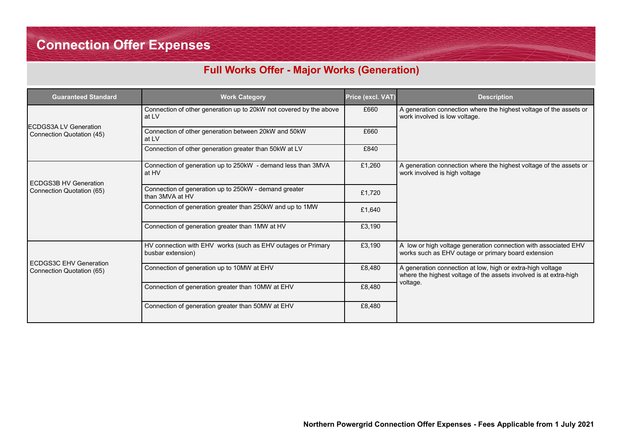## **Full Works Offer - Major Works (Generation)**

| <b>Guaranteed Standard</b>                                 | <b>Work Category</b>                                                              | Price (excl. VAT) | <b>Description</b>                                                                                                              |
|------------------------------------------------------------|-----------------------------------------------------------------------------------|-------------------|---------------------------------------------------------------------------------------------------------------------------------|
|                                                            | Connection of other generation up to 20kW not covered by the above<br>at LV       | £660              | A generation connection where the highest voltage of the assets or<br>work involved is low voltage.                             |
| <b>ECDGS3A LV Generation</b><br>Connection Quotation (45)  | Connection of other generation between 20kW and 50kW<br>at LV                     | £660              |                                                                                                                                 |
|                                                            | Connection of other generation greater than 50kW at LV                            | £840              |                                                                                                                                 |
| <b>ECDGS3B HV Generation</b>                               | Connection of generation up to 250kW - demand less than 3MVA<br>at HV             | £1,260            | A generation connection where the highest voltage of the assets or<br>work involved is high voltage                             |
| Connection Quotation (65)                                  | Connection of generation up to 250kW - demand greater<br>than 3MVA at HV          | £1.720            |                                                                                                                                 |
|                                                            | Connection of generation greater than 250kW and up to 1MW                         | £1,640            |                                                                                                                                 |
|                                                            | Connection of generation greater than 1MW at HV                                   | £3,190            |                                                                                                                                 |
|                                                            | HV connection with EHV works (such as EHV outages or Primary<br>busbar extension) | £3,190            | A low or high voltage generation connection with associated EHV<br>works such as EHV outage or primary board extension          |
| <b>ECDGS3C EHV Generation</b><br>Connection Quotation (65) | Connection of generation up to 10MW at EHV                                        | £8,480            | A generation connection at low, high or extra-high voltage<br>where the highest voltage of the assets involved is at extra-high |
|                                                            | Connection of generation greater than 10MW at EHV                                 | £8,480            | voltage.                                                                                                                        |
|                                                            | Connection of generation greater than 50MW at EHV                                 | £8,480            |                                                                                                                                 |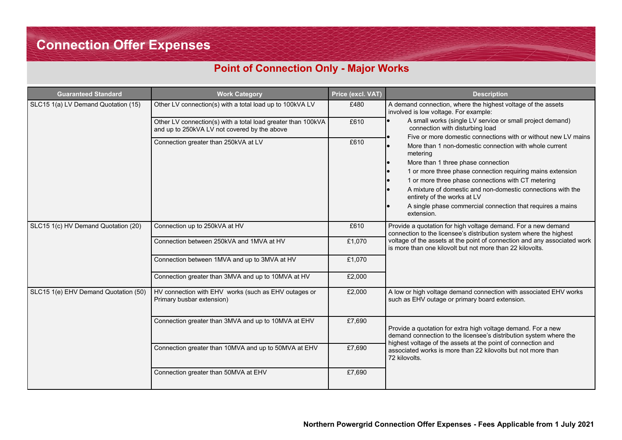### **Point of Connection Only - Major Works**

| <b>Guaranteed Standard</b>           | <b>Work Category</b>                                                                                         | Price (excl. VAT) | <b>Description</b>                                                                                                                                                                                                                                                                                                                                                                                                                                                       |
|--------------------------------------|--------------------------------------------------------------------------------------------------------------|-------------------|--------------------------------------------------------------------------------------------------------------------------------------------------------------------------------------------------------------------------------------------------------------------------------------------------------------------------------------------------------------------------------------------------------------------------------------------------------------------------|
| SLC15 1(a) LV Demand Quotation (15)  | Other LV connection(s) with a total load up to 100kVA LV                                                     | £480              | A demand connection, where the highest voltage of the assets<br>involved is low voltage. For example:                                                                                                                                                                                                                                                                                                                                                                    |
|                                      | Other LV connection(s) with a total load greater than 100kVA<br>and up to 250kVA LV not covered by the above | £610              | A small works (single LV service or small project demand)<br>connection with disturbing load                                                                                                                                                                                                                                                                                                                                                                             |
|                                      | Connection greater than 250kVA at LV                                                                         | £610              | Five or more domestic connections with or without new LV mains<br>More than 1 non-domestic connection with whole current<br>metering<br>More than 1 three phase connection<br>1 or more three phase connection requiring mains extension<br>1 or more three phase connections with CT metering<br>A mixture of domestic and non-domestic connections with the<br>entirety of the works at LV<br>A single phase commercial connection that requires a mains<br>extension. |
| SLC15 1(c) HV Demand Quotation (20)  | Connection up to 250kVA at HV                                                                                | £610              | Provide a quotation for high voltage demand. For a new demand<br>connection to the licensee's distribution system where the highest                                                                                                                                                                                                                                                                                                                                      |
|                                      | Connection between 250kVA and 1MVA at HV                                                                     | £1,070            | voltage of the assets at the point of connection and any associated work<br>is more than one kilovolt but not more than 22 kilovolts.                                                                                                                                                                                                                                                                                                                                    |
|                                      | Connection between 1MVA and up to 3MVA at HV                                                                 | £1,070            |                                                                                                                                                                                                                                                                                                                                                                                                                                                                          |
|                                      | Connection greater than 3MVA and up to 10MVA at HV                                                           | £2,000            |                                                                                                                                                                                                                                                                                                                                                                                                                                                                          |
| SLC15 1(e) EHV Demand Quotation (50) | HV connection with EHV works (such as EHV outages or<br>Primary busbar extension)                            | £2,000            | A low or high voltage demand connection with associated EHV works<br>such as EHV outage or primary board extension.                                                                                                                                                                                                                                                                                                                                                      |
|                                      | Connection greater than 3MVA and up to 10MVA at EHV                                                          | £7,690            | Provide a quotation for extra high voltage demand. For a new<br>demand connection to the licensee's distribution system where the                                                                                                                                                                                                                                                                                                                                        |
|                                      | Connection greater than 10MVA and up to 50MVA at EHV                                                         | £7,690            | highest voltage of the assets at the point of connection and<br>associated works is more than 22 kilovolts but not more than<br>72 kilovolts.                                                                                                                                                                                                                                                                                                                            |
|                                      | Connection greater than 50MVA at EHV                                                                         | £7,690            |                                                                                                                                                                                                                                                                                                                                                                                                                                                                          |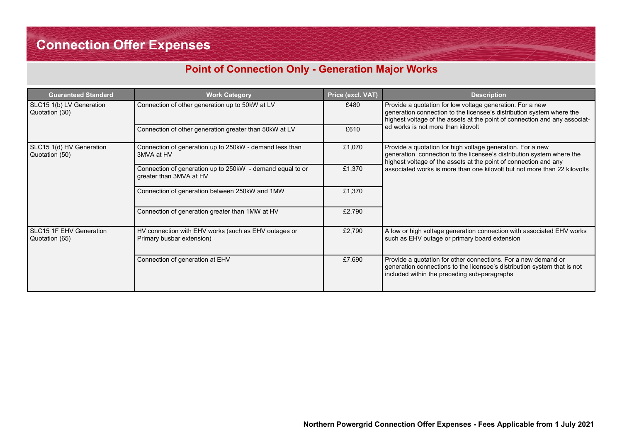### **Point of Connection Only - Generation Major Works**

| <b>Guaranteed Standard</b>                       | <b>Work Category</b>                                                                 | Price (excl. VAT) | <b>Description</b>                                                                                                                                                                                               |  |  |
|--------------------------------------------------|--------------------------------------------------------------------------------------|-------------------|------------------------------------------------------------------------------------------------------------------------------------------------------------------------------------------------------------------|--|--|
| SLC15 1(b) LV Generation<br>Quotation (30)       | Connection of other generation up to 50kW at LV                                      | £480              | Provide a quotation for low voltage generation. For a new<br>generation connection to the licensee's distribution system where the<br>highest voltage of the assets at the point of connection and any associat- |  |  |
|                                                  | Connection of other generation greater than 50kW at LV                               | £610              | ed works is not more than kilovolt                                                                                                                                                                               |  |  |
| SLC15 1(d) HV Generation<br>Quotation (50)       | Connection of generation up to 250kW - demand less than<br>3MVA at HV                | £1,070            | Provide a quotation for high voltage generation. For a new<br>generation connection to the licensee's distribution system where the<br>highest voltage of the assets at the point of connection and any          |  |  |
|                                                  | Connection of generation up to 250kW - demand equal to or<br>greater than 3MVA at HV | £1,370            | associated works is more than one kilovolt but not more than 22 kilovolts                                                                                                                                        |  |  |
|                                                  | Connection of generation between 250kW and 1MW                                       | £1,370            |                                                                                                                                                                                                                  |  |  |
|                                                  | Connection of generation greater than 1MW at HV                                      | £2,790            |                                                                                                                                                                                                                  |  |  |
| <b>SLC15 1F EHV Generation</b><br>Quotation (65) | HV connection with EHV works (such as EHV outages or<br>Primary busbar extension)    | £2,790            | A low or high voltage generation connection with associated EHV works<br>such as EHV outage or primary board extension                                                                                           |  |  |
|                                                  | Connection of generation at EHV                                                      | £7,690            | Provide a quotation for other connections. For a new demand or<br>generation connections to the licensee's distribution system that is not<br>included within the preceding sub-paragraphs                       |  |  |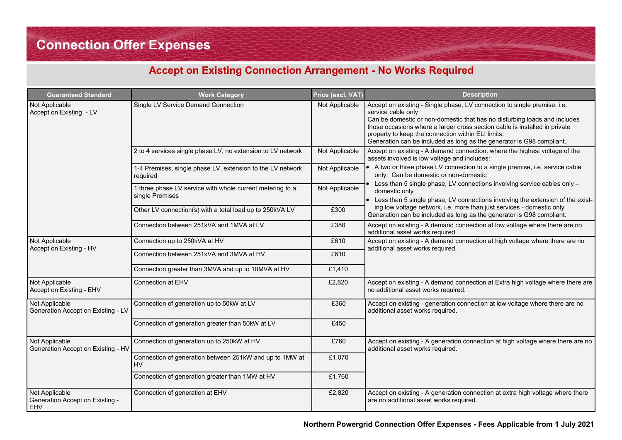### **Accept on Existing Connection Arrangement - No Works Required**

| <b>Guaranteed Standard</b>                               | <b>Work Category</b>                                                         | Price (excl. VAT) | <b>Description</b>                                                                                                                                                                                                                                                                                                                                                                       |
|----------------------------------------------------------|------------------------------------------------------------------------------|-------------------|------------------------------------------------------------------------------------------------------------------------------------------------------------------------------------------------------------------------------------------------------------------------------------------------------------------------------------------------------------------------------------------|
| Not Applicable<br>Accept on Existing - LV                | Single LV Service Demand Connection                                          | Not Applicable    | Accept on existing - Single phase, LV connection to single premise, i.e.<br>service cable only<br>Can be domestic or non-domestic that has no disturbing loads and includes<br>those occasions where a larger cross section cable is installed in private<br>property to keep the connection within ELI limits.<br>Generation can be included as long as the generator is G98 compliant. |
|                                                          | 2 to 4 services single phase LV, no extension to LV network                  | Not Applicable    | Accept on existing - A demand connection, where the highest voltage of the<br>assets involved is low voltage and includes:                                                                                                                                                                                                                                                               |
|                                                          | 1-4 Premises, single phase LV, extension to the LV network<br>required       | Not Applicable    | A two or three phase LV connection to a single premise, i.e. service cable<br>only. Can be domestic or non-domestic                                                                                                                                                                                                                                                                      |
|                                                          | 1 three phase LV service with whole current metering to a<br>single Premises | Not Applicable    | Less than 5 single phase, LV connections involving service cables only -<br>domestic only<br>Less than 5 single phase, LV connections involving the extension of the exist-                                                                                                                                                                                                              |
|                                                          | Other LV connection(s) with a total load up to 250kVA LV                     | £300              | ing low voltage network, i.e. more than just services - domestic only<br>Generation can be included as long as the generator is G98 compliant.                                                                                                                                                                                                                                           |
|                                                          | Connection between 251kVA and 1MVA at LV                                     | £380              | Accept on existing - A demand connection at low voltage where there are no<br>additional asset works required.                                                                                                                                                                                                                                                                           |
| Not Applicable<br>Accept on Existing - HV                | Connection up to 250kVA at HV                                                | £610              | Accept on existing - A demand connection at high voltage where there are no<br>additional asset works required.                                                                                                                                                                                                                                                                          |
|                                                          | Connection between 251kVA and 3MVA at HV                                     | £610              |                                                                                                                                                                                                                                                                                                                                                                                          |
|                                                          | Connection greater than 3MVA and up to 10MVA at HV                           | £1,410            |                                                                                                                                                                                                                                                                                                                                                                                          |
| Not Applicable<br>Accept on Existing - EHV               | Connection at EHV                                                            | £2,820            | Accept on existing - A demand connection at Extra high voltage where there are<br>no additional asset works required.                                                                                                                                                                                                                                                                    |
| Not Applicable<br>Generation Accept on Existing - LV     | Connection of generation up to 50kW at LV                                    | £360              | Accept on existing - generation connection at low voltage where there are no<br>additional asset works required.                                                                                                                                                                                                                                                                         |
|                                                          | Connection of generation greater than 50kW at LV                             | £450              |                                                                                                                                                                                                                                                                                                                                                                                          |
| Not Applicable<br>Generation Accept on Existing - HV     | Connection of generation up to 250kW at HV                                   | £760              | Accept on existing - A generation connection at high voltage where there are no<br>additional asset works required.                                                                                                                                                                                                                                                                      |
|                                                          | Connection of generation between 251kW and up to 1MW at<br><b>HV</b>         | £1,070            |                                                                                                                                                                                                                                                                                                                                                                                          |
|                                                          | Connection of generation greater than 1MW at HV                              | £1,760            |                                                                                                                                                                                                                                                                                                                                                                                          |
| Not Applicable<br>Generation Accept on Existing -<br>EHV | Connection of generation at EHV                                              | £2,820            | Accept on existing - A generation connection at extra high voltage where there<br>are no additional asset works required.                                                                                                                                                                                                                                                                |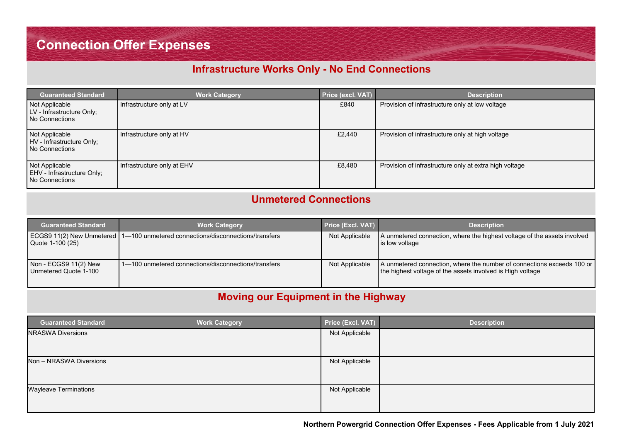### **Infrastructure Works Only - No End Connections**

| <b>Guaranteed Standard</b>                                     | <b>Work Category</b>       | <b>Price (excl. VAT)</b> | <b>Description</b>                                     |
|----------------------------------------------------------------|----------------------------|--------------------------|--------------------------------------------------------|
| Not Applicable<br>LV - Infrastructure Only;<br>No Connections  | Infrastructure only at LV  | £840                     | Provision of infrastructure only at low voltage        |
| Not Applicable<br>HV - Infrastructure Only;<br>No Connections  | Infrastructure only at HV  | £2,440                   | Provision of infrastructure only at high voltage       |
| Not Applicable<br>EHV - Infrastructure Only;<br>No Connections | Infrastructure only at EHV | £8.480                   | Provision of infrastructure only at extra high voltage |

### **Unmetered Connections**

| <b>Guaranteed Standard</b>                     | <b>Work Category</b>                                                             | <b>Price (Excl. VAT)</b> | <b>Description</b>                                                                                                                   |
|------------------------------------------------|----------------------------------------------------------------------------------|--------------------------|--------------------------------------------------------------------------------------------------------------------------------------|
| Quote 1-100 (25)                               | ECGS9 11(2) New Unmetered   1-100 unmetered connections/disconnections/transfers | Not Applicable           | A unmetered connection, where the highest voltage of the assets involved<br>is low voltage                                           |
| Non - ECGS9 11(2) New<br>Unmetered Quote 1-100 | 1-100 unmetered connections/disconnections/transfers                             | Not Applicable           | A unmetered connection, where the number of connections exceeds 100 or<br>the highest voltage of the assets involved is High voltage |

### **Moving our Equipment in the Highway**

| <b>Guaranteed Standard</b>   | <b>Work Category</b> | Price (Excl. VAT) | <b>Description</b> |
|------------------------------|----------------------|-------------------|--------------------|
| <b>NRASWA Diversions</b>     |                      | Not Applicable    |                    |
| Non - NRASWA Diversions      |                      | Not Applicable    |                    |
| <b>Wayleave Terminations</b> |                      | Not Applicable    |                    |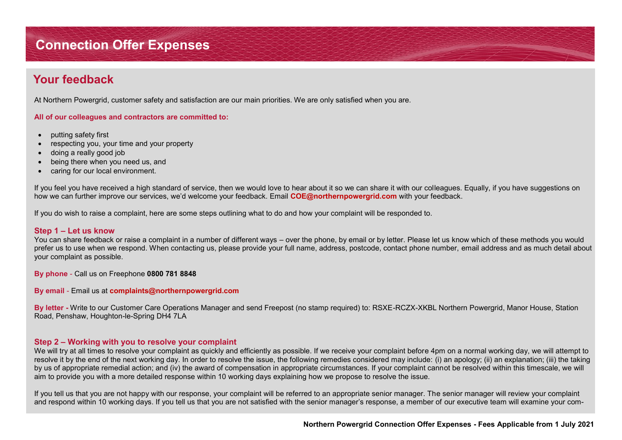## **Connection Offer Expenses Connection Offer Expenses**

### **Your feedback**

At Northern Powergrid, customer safety and satisfaction are our main priorities. We are only satisfied when you are.

#### **All of our colleagues and contractors are committed to:**

- putting safety first
- respecting you, your time and your property
- doing a really good job
- being there when you need us, and
- caring for our local environment.

If you feel you have received a high standard of service, then we would love to hear about it so we can share it with our colleagues. Equally, if you have suggestions on how we can further improve our services, we'd welcome your feedback. Email **COE@northernpowergrid.com** with your feedback.

If you do wish to raise a complaint, here are some steps outlining what to do and how your complaint will be responded to.

#### **Step 1 – Let us know**

You can share feedback or raise a complaint in a number of different ways – over the phone, by email or by letter. Please let us know which of these methods you would prefer us to use when we respond. When contacting us, please provide your full name, address, postcode, contact phone number, email address and as much detail about your complaint as possible.

**By phone** - Call us on Freephone **0800 781 8848** 

**By email** - Email us at **complaints@northernpowergrid.com** 

**By letter -** Write to our Customer Care Operations Manager and send Freepost (no stamp required) to: RSXE-RCZX-XKBL Northern Powergrid, Manor House, Station Road, Penshaw, Houghton-le-Spring DH4 7LA

#### **Step 2 – Working with you to resolve your complaint**

We will try at all times to resolve your complaint as quickly and efficiently as possible. If we receive your complaint before 4pm on a normal working day, we will attempt to resolve it by the end of the next working day. In order to resolve the issue, the following remedies considered may include: (i) an apology; (ii) an explanation; (iii) the taking by us of appropriate remedial action; and (iv) the award of compensation in appropriate circumstances. If your complaint cannot be resolved within this timescale, we will aim to provide you with a more detailed response within 10 working days explaining how we propose to resolve the issue.

If you tell us that you are not happy with our response, your complaint will be referred to an appropriate senior manager. The senior manager will review your complaint and respond within 10 working days. If you tell us that you are not satisfied with the senior manager's response, a member of our executive team will examine your com-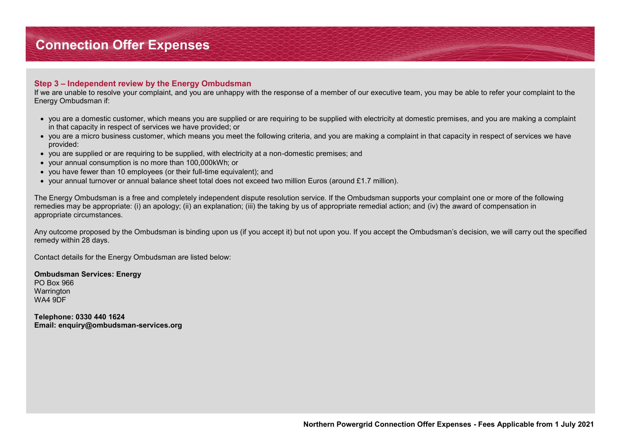#### **Step 3 – Independent review by the Energy Ombudsman**

If we are unable to resolve your complaint, and you are unhappy with the response of a member of our executive team, you may be able to refer your complaint to the Energy Ombudsman if:

- you are a domestic customer, which means you are supplied or are requiring to be supplied with electricity at domestic premises, and you are making a complaint in that capacity in respect of services we have provided; or
- you are a micro business customer, which means you meet the following criteria, and you are making a complaint in that capacity in respect of services we have provided:
- you are supplied or are requiring to be supplied, with electricity at a non-domestic premises; and
- your annual consumption is no more than 100,000kWh; or
- you have fewer than 10 employees (or their full-time equivalent); and
- your annual turnover or annual balance sheet total does not exceed two million Euros (around £1.7 million).

The Energy Ombudsman is a free and completely independent dispute resolution service. If the Ombudsman supports your complaint one or more of the following remedies may be appropriate: (i) an apology; (ii) an explanation; (iii) the taking by us of appropriate remedial action; and (iv) the award of compensation in appropriate circumstances.

Any outcome proposed by the Ombudsman is binding upon us (if you accept it) but not upon you. If you accept the Ombudsman's decision, we will carry out the specified remedy within 28 days.

Contact details for the Energy Ombudsman are listed below:

**Ombudsman Services: Energy**  PO Box 966 **Warrington** WA4 9DF

**Telephone: 0330 440 1624 Email: enquiry@ombudsman-services.org**